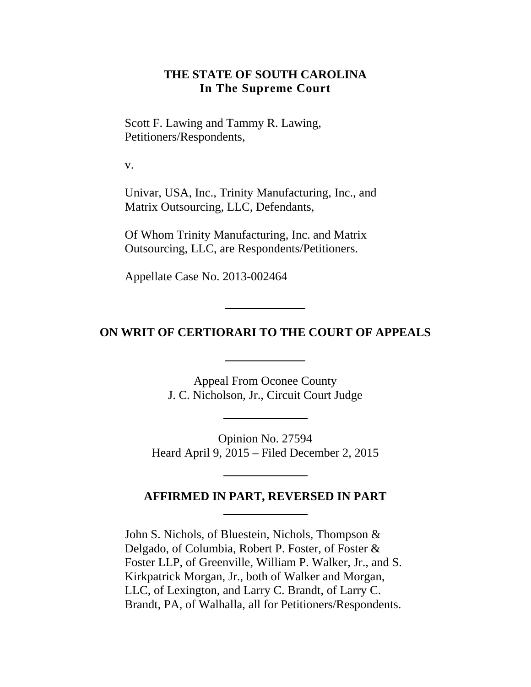### **THE STATE OF SOUTH CAROLINA In The Supreme Court**

Scott F. Lawing and Tammy R. Lawing, Petitioners/Respondents,

v.

Univar, USA, Inc., Trinity Manufacturing, Inc., and Matrix Outsourcing, LLC, Defendants,

Of Whom Trinity Manufacturing, Inc. and Matrix Outsourcing, LLC, are Respondents/Petitioners.

Appellate Case No. 2013-002464

# **ON WRIT OF CERTIORARI TO THE COURT OF APPEALS**

Appeal From Oconee County J. C. Nicholson, Jr., Circuit Court Judge

Opinion No. 27594 Heard April 9, 2015 – Filed December 2, 2015

## **AFFIRMED IN PART, REVERSED IN PART**

John S. Nichols, of Bluestein, Nichols, Thompson & Delgado, of Columbia, Robert P. Foster, of Foster & Foster LLP, of Greenville, William P. Walker, Jr., and S. Kirkpatrick Morgan, Jr., both of Walker and Morgan, LLC, of Lexington, and Larry C. Brandt, of Larry C. Brandt, PA, of Walhalla, all for Petitioners/Respondents.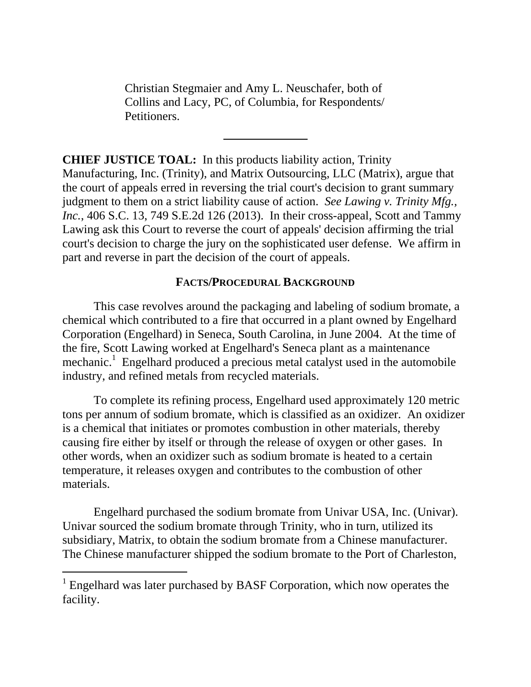Christian Stegmaier and Amy L. Neuschafer, both of Collins and Lacy, PC, of Columbia, for Respondents/ Petitioners.

**CHIEF JUSTICE TOAL:** In this products liability action, Trinity Manufacturing, Inc. (Trinity), and Matrix Outsourcing, LLC (Matrix), argue that the court of appeals erred in reversing the trial court's decision to grant summary judgment to them on a strict liability cause of action. *See Lawing v. Trinity Mfg., Inc.*, 406 S.C. 13, 749 S.E.2d 126 (2013). In their cross-appeal, Scott and Tammy Lawing ask this Court to reverse the court of appeals' decision affirming the trial court's decision to charge the jury on the sophisticated user defense. We affirm in part and reverse in part the decision of the court of appeals.

## **FACTS/PROCEDURAL BACKGROUND**

This case revolves around the packaging and labeling of sodium bromate, a chemical which contributed to a fire that occurred in a plant owned by Engelhard Corporation (Engelhard) in Seneca, South Carolina, in June 2004. At the time of the fire, Scott Lawing worked at Engelhard's Seneca plant as a maintenance mechanic.<sup>1</sup> Engelhard produced a precious metal catalyst used in the automobile industry, and refined metals from recycled materials.

To complete its refining process, Engelhard used approximately 120 metric tons per annum of sodium bromate, which is classified as an oxidizer. An oxidizer is a chemical that initiates or promotes combustion in other materials, thereby causing fire either by itself or through the release of oxygen or other gases. In other words, when an oxidizer such as sodium bromate is heated to a certain temperature, it releases oxygen and contributes to the combustion of other materials.

Engelhard purchased the sodium bromate from Univar USA, Inc. (Univar). Univar sourced the sodium bromate through Trinity, who in turn, utilized its subsidiary, Matrix, to obtain the sodium bromate from a Chinese manufacturer. The Chinese manufacturer shipped the sodium bromate to the Port of Charleston,

<sup>&</sup>lt;sup>1</sup> Engelhard was later purchased by BASF Corporation, which now operates the facility.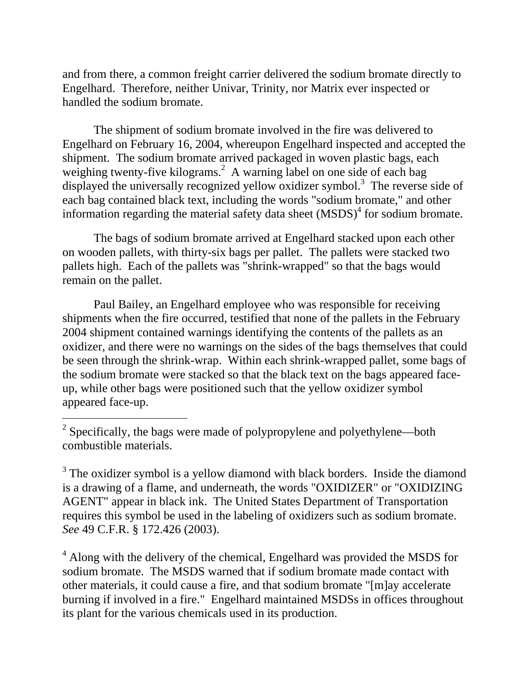and from there, a common freight carrier delivered the sodium bromate directly to Engelhard. Therefore, neither Univar, Trinity, nor Matrix ever inspected or handled the sodium bromate.

The shipment of sodium bromate involved in the fire was delivered to Engelhard on February 16, 2004, whereupon Engelhard inspected and accepted the shipment. The sodium bromate arrived packaged in woven plastic bags, each weighing twenty-five kilograms.<sup>2</sup> A warning label on one side of each bag displayed the universally recognized yellow oxidizer symbol.<sup>3</sup> The reverse side of each bag contained black text, including the words "sodium bromate," and other information regarding the material safety data sheet  $(MSDS)<sup>4</sup>$  for sodium bromate.

The bags of sodium bromate arrived at Engelhard stacked upon each other on wooden pallets, with thirty-six bags per pallet. The pallets were stacked two pallets high. Each of the pallets was "shrink-wrapped" so that the bags would remain on the pallet.

Paul Bailey, an Engelhard employee who was responsible for receiving shipments when the fire occurred, testified that none of the pallets in the February 2004 shipment contained warnings identifying the contents of the pallets as an oxidizer, and there were no warnings on the sides of the bags themselves that could be seen through the shrink-wrap. Within each shrink-wrapped pallet, some bags of the sodium bromate were stacked so that the black text on the bags appeared faceup, while other bags were positioned such that the yellow oxidizer symbol appeared face-up.

 $\overline{a}$ 

 $3$  The oxidizer symbol is a yellow diamond with black borders. Inside the diamond is a drawing of a flame, and underneath, the words "OXIDIZER" or "OXIDIZING AGENT" appear in black ink. The United States Department of Transportation requires this symbol be used in the labeling of oxidizers such as sodium bromate. *See* 49 C.F.R. § 172.426 (2003).

<sup>4</sup> Along with the delivery of the chemical, Engelhard was provided the MSDS for sodium bromate. The MSDS warned that if sodium bromate made contact with other materials, it could cause a fire, and that sodium bromate "[m]ay accelerate burning if involved in a fire." Engelhard maintained MSDSs in offices throughout its plant for the various chemicals used in its production.

 $2^2$  Specifically, the bags were made of polypropylene and polyethylene—both combustible materials.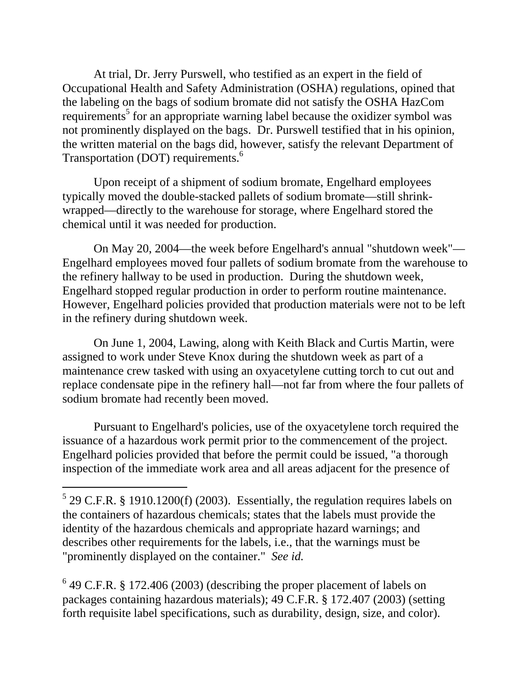Transportation (DOT) requirements.<sup>6</sup> At trial, Dr. Jerry Purswell, who testified as an expert in the field of Occupational Health and Safety Administration (OSHA) regulations, opined that the labeling on the bags of sodium bromate did not satisfy the OSHA HazCom requirements<sup>5</sup> for an appropriate warning label because the oxidizer symbol was not prominently displayed on the bags. Dr. Purswell testified that in his opinion, the written material on the bags did, however, satisfy the relevant Department of

Upon receipt of a shipment of sodium bromate, Engelhard employees typically moved the double-stacked pallets of sodium bromate—still shrinkwrapped—directly to the warehouse for storage, where Engelhard stored the chemical until it was needed for production.

On May 20, 2004—the week before Engelhard's annual "shutdown week"— Engelhard employees moved four pallets of sodium bromate from the warehouse to the refinery hallway to be used in production. During the shutdown week, Engelhard stopped regular production in order to perform routine maintenance. However, Engelhard policies provided that production materials were not to be left in the refinery during shutdown week.

On June 1, 2004, Lawing, along with Keith Black and Curtis Martin, were assigned to work under Steve Knox during the shutdown week as part of a maintenance crew tasked with using an oxyacetylene cutting torch to cut out and replace condensate pipe in the refinery hall—not far from where the four pallets of sodium bromate had recently been moved.

Pursuant to Engelhard's policies, use of the oxyacetylene torch required the issuance of a hazardous work permit prior to the commencement of the project. Engelhard policies provided that before the permit could be issued, "a thorough inspection of the immediate work area and all areas adjacent for the presence of

 "prominently displayed on the container." *See id.*  $5$  29 C.F.R. § 1910.1200(f) (2003). Essentially, the regulation requires labels on the containers of hazardous chemicals; states that the labels must provide the identity of the hazardous chemicals and appropriate hazard warnings; and describes other requirements for the labels, i.e., that the warnings must be

 $6$  49 C.F.R. § 172.406 (2003) (describing the proper placement of labels on packages containing hazardous materials); 49 C.F.R. § 172.407 (2003) (setting forth requisite label specifications, such as durability, design, size, and color).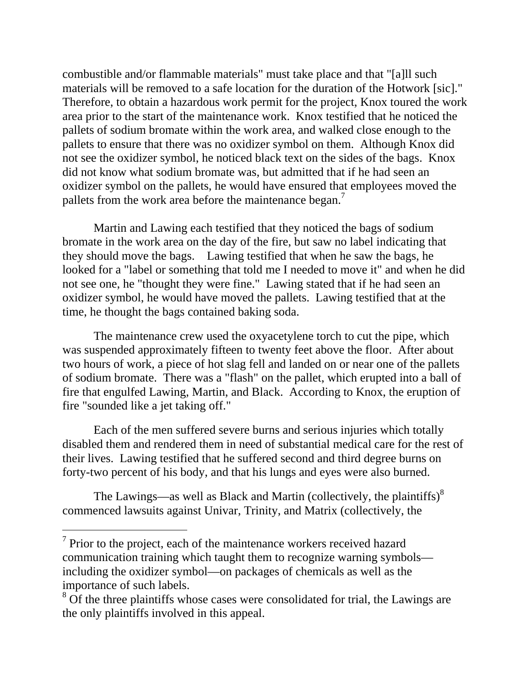pallets from the work area before the maintenance began.<sup>7</sup> combustible and/or flammable materials" must take place and that "[a]ll such materials will be removed to a safe location for the duration of the Hotwork [sic]." Therefore, to obtain a hazardous work permit for the project, Knox toured the work area prior to the start of the maintenance work. Knox testified that he noticed the pallets of sodium bromate within the work area, and walked close enough to the pallets to ensure that there was no oxidizer symbol on them. Although Knox did not see the oxidizer symbol, he noticed black text on the sides of the bags. Knox did not know what sodium bromate was, but admitted that if he had seen an oxidizer symbol on the pallets, he would have ensured that employees moved the

 they should move the bags. Lawing testified that when he saw the bags, he Martin and Lawing each testified that they noticed the bags of sodium bromate in the work area on the day of the fire, but saw no label indicating that looked for a "label or something that told me I needed to move it" and when he did not see one, he "thought they were fine." Lawing stated that if he had seen an oxidizer symbol, he would have moved the pallets. Lawing testified that at the time, he thought the bags contained baking soda.

The maintenance crew used the oxyacetylene torch to cut the pipe, which was suspended approximately fifteen to twenty feet above the floor. After about two hours of work, a piece of hot slag fell and landed on or near one of the pallets of sodium bromate. There was a "flash" on the pallet, which erupted into a ball of fire that engulfed Lawing, Martin, and Black. According to Knox, the eruption of fire "sounded like a jet taking off."

Each of the men suffered severe burns and serious injuries which totally disabled them and rendered them in need of substantial medical care for the rest of their lives. Lawing testified that he suffered second and third degree burns on forty-two percent of his body, and that his lungs and eyes were also burned.

The Lawings—as well as Black and Martin (collectively, the plaintiffs) $\delta$ commenced lawsuits against Univar, Trinity, and Matrix (collectively, the

 $7$  Prior to the project, each of the maintenance workers received hazard communication training which taught them to recognize warning symbols including the oxidizer symbol—on packages of chemicals as well as the importance of such labels.

 $8\,\mathrm{Of}$  the three plaintiffs whose cases were consolidated for trial, the Lawings are the only plaintiffs involved in this appeal.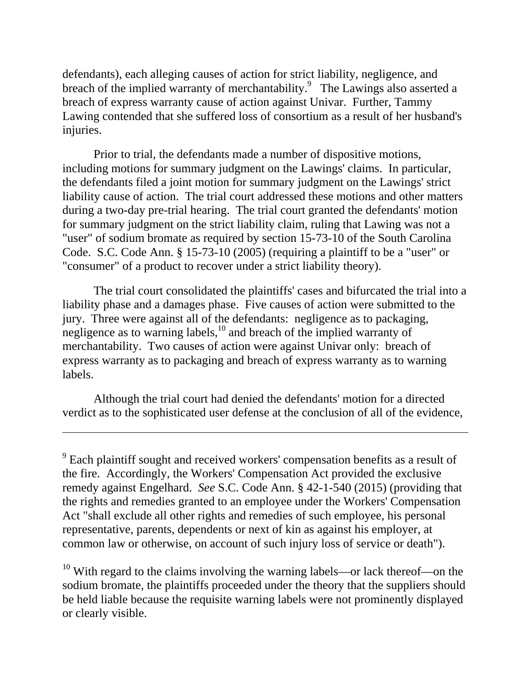defendants), each alleging causes of action for strict liability, negligence, and breach of the implied warranty of merchantability.<sup>9</sup> The Lawings also asserted a breach of express warranty cause of action against Univar. Further, Tammy Lawing contended that she suffered loss of consortium as a result of her husband's injuries.

Prior to trial, the defendants made a number of dispositive motions, including motions for summary judgment on the Lawings' claims. In particular, the defendants filed a joint motion for summary judgment on the Lawings' strict liability cause of action. The trial court addressed these motions and other matters during a two-day pre-trial hearing. The trial court granted the defendants' motion for summary judgment on the strict liability claim, ruling that Lawing was not a "user" of sodium bromate as required by section 15-73-10 of the South Carolina Code. S.C. Code Ann. § 15-73-10 (2005) (requiring a plaintiff to be a "user" or "consumer" of a product to recover under a strict liability theory).

The trial court consolidated the plaintiffs' cases and bifurcated the trial into a liability phase and a damages phase. Five causes of action were submitted to the jury. Three were against all of the defendants: negligence as to packaging, negligence as to warning labels,<sup>10</sup> and breach of the implied warranty of merchantability. Two causes of action were against Univar only: breach of express warranty as to packaging and breach of express warranty as to warning labels.

Although the trial court had denied the defendants' motion for a directed verdict as to the sophisticated user defense at the conclusion of all of the evidence,

 $\overline{a}$ 

<sup>10</sup> With regard to the claims involving the warning labels—or lack thereof—on the sodium bromate, the plaintiffs proceeded under the theory that the suppliers should be held liable because the requisite warning labels were not prominently displayed or clearly visible.

 $9^9$  Each plaintiff sought and received workers' compensation benefits as a result of the fire. Accordingly, the Workers' Compensation Act provided the exclusive remedy against Engelhard. *See* S.C. Code Ann. § 42-1-540 (2015) (providing that the rights and remedies granted to an employee under the Workers' Compensation Act "shall exclude all other rights and remedies of such employee, his personal representative, parents, dependents or next of kin as against his employer, at common law or otherwise, on account of such injury loss of service or death").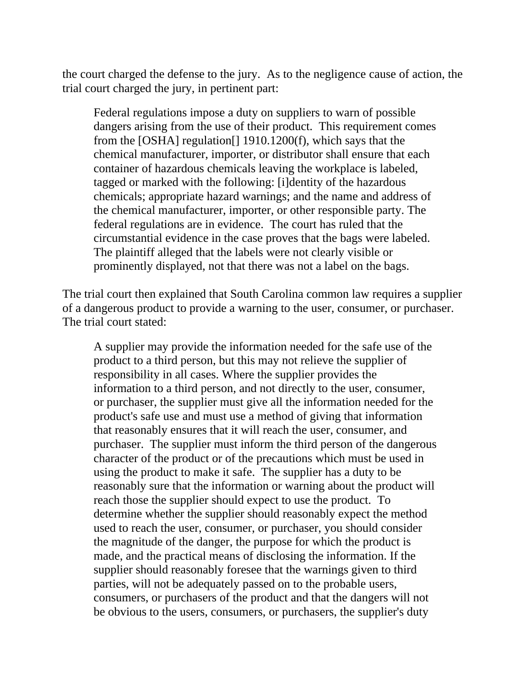the court charged the defense to the jury. As to the negligence cause of action, the trial court charged the jury, in pertinent part:

Federal regulations impose a duty on suppliers to warn of possible dangers arising from the use of their product. This requirement comes from the [OSHA] regulation[] 1910.1200(f), which says that the chemical manufacturer, importer, or distributor shall ensure that each container of hazardous chemicals leaving the workplace is labeled, tagged or marked with the following: [i]dentity of the hazardous chemicals; appropriate hazard warnings; and the name and address of the chemical manufacturer, importer, or other responsible party. The federal regulations are in evidence. The court has ruled that the circumstantial evidence in the case proves that the bags were labeled. The plaintiff alleged that the labels were not clearly visible or prominently displayed, not that there was not a label on the bags.

The trial court then explained that South Carolina common law requires a supplier of a dangerous product to provide a warning to the user, consumer, or purchaser. The trial court stated:

A supplier may provide the information needed for the safe use of the product to a third person, but this may not relieve the supplier of responsibility in all cases. Where the supplier provides the information to a third person, and not directly to the user, consumer, or purchaser, the supplier must give all the information needed for the product's safe use and must use a method of giving that information that reasonably ensures that it will reach the user, consumer, and purchaser. The supplier must inform the third person of the dangerous character of the product or of the precautions which must be used in using the product to make it safe. The supplier has a duty to be reasonably sure that the information or warning about the product will reach those the supplier should expect to use the product. To determine whether the supplier should reasonably expect the method used to reach the user, consumer, or purchaser, you should consider the magnitude of the danger, the purpose for which the product is made, and the practical means of disclosing the information. If the supplier should reasonably foresee that the warnings given to third parties, will not be adequately passed on to the probable users, consumers, or purchasers of the product and that the dangers will not be obvious to the users, consumers, or purchasers, the supplier's duty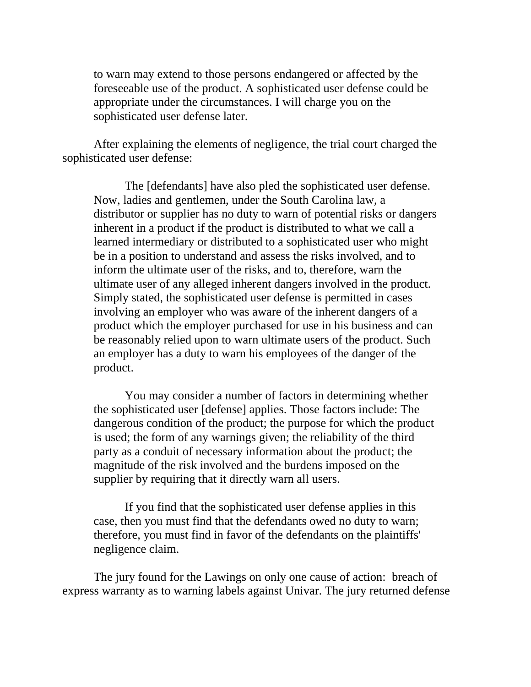to warn may extend to those persons endangered or affected by the foreseeable use of the product. A sophisticated user defense could be appropriate under the circumstances. I will charge you on the sophisticated user defense later.

After explaining the elements of negligence, the trial court charged the sophisticated user defense:

 The [defendants] have also pled the sophisticated user defense. Now, ladies and gentlemen, under the South Carolina law, a distributor or supplier has no duty to warn of potential risks or dangers inherent in a product if the product is distributed to what we call a learned intermediary or distributed to a sophisticated user who might be in a position to understand and assess the risks involved, and to inform the ultimate user of the risks, and to, therefore, warn the ultimate user of any alleged inherent dangers involved in the product. Simply stated, the sophisticated user defense is permitted in cases involving an employer who was aware of the inherent dangers of a product which the employer purchased for use in his business and can be reasonably relied upon to warn ultimate users of the product. Such an employer has a duty to warn his employees of the danger of the product.

You may consider a number of factors in determining whether the sophisticated user [defense] applies. Those factors include: The dangerous condition of the product; the purpose for which the product is used; the form of any warnings given; the reliability of the third party as a conduit of necessary information about the product; the magnitude of the risk involved and the burdens imposed on the supplier by requiring that it directly warn all users.

If you find that the sophisticated user defense applies in this case, then you must find that the defendants owed no duty to warn; therefore, you must find in favor of the defendants on the plaintiffs' negligence claim.

The jury found for the Lawings on only one cause of action: breach of express warranty as to warning labels against Univar. The jury returned defense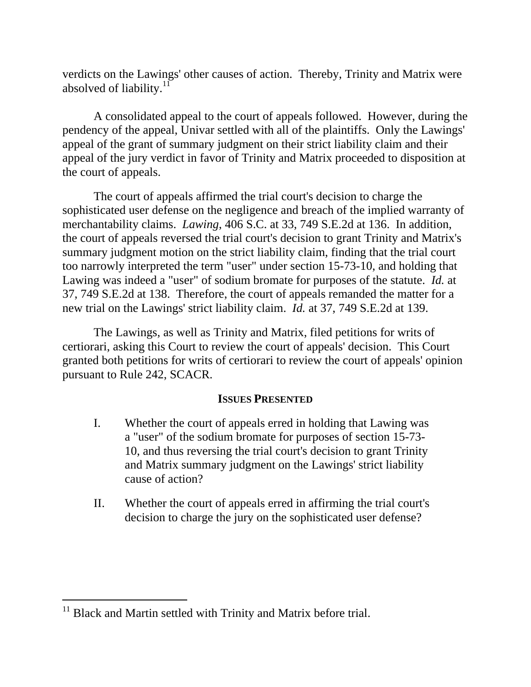absolved of liability.<sup>11</sup> verdicts on the Lawings' other causes of action. Thereby, Trinity and Matrix were

A consolidated appeal to the court of appeals followed. However, during the pendency of the appeal, Univar settled with all of the plaintiffs. Only the Lawings' appeal of the grant of summary judgment on their strict liability claim and their appeal of the jury verdict in favor of Trinity and Matrix proceeded to disposition at the court of appeals.

The court of appeals affirmed the trial court's decision to charge the sophisticated user defense on the negligence and breach of the implied warranty of merchantability claims. *Lawing*, 406 S.C. at 33, 749 S.E.2d at 136. In addition, the court of appeals reversed the trial court's decision to grant Trinity and Matrix's summary judgment motion on the strict liability claim, finding that the trial court too narrowly interpreted the term "user" under section 15-73-10, and holding that Lawing was indeed a "user" of sodium bromate for purposes of the statute. *Id.* at 37, 749 S.E.2d at 138. Therefore, the court of appeals remanded the matter for a new trial on the Lawings' strict liability claim. *Id.* at 37, 749 S.E.2d at 139.

The Lawings, as well as Trinity and Matrix, filed petitions for writs of certiorari, asking this Court to review the court of appeals' decision. This Court granted both petitions for writs of certiorari to review the court of appeals' opinion pursuant to Rule 242, SCACR.

#### **ISSUES PRESENTED**

- I. Whether the court of appeals erred in holding that Lawing was a "user" of the sodium bromate for purposes of section 15-73 10, and thus reversing the trial court's decision to grant Trinity and Matrix summary judgment on the Lawings' strict liability cause of action?
- II. Whether the court of appeals erred in affirming the trial court's decision to charge the jury on the sophisticated user defense?

<sup>&</sup>lt;sup>11</sup> Black and Martin settled with Trinity and Matrix before trial.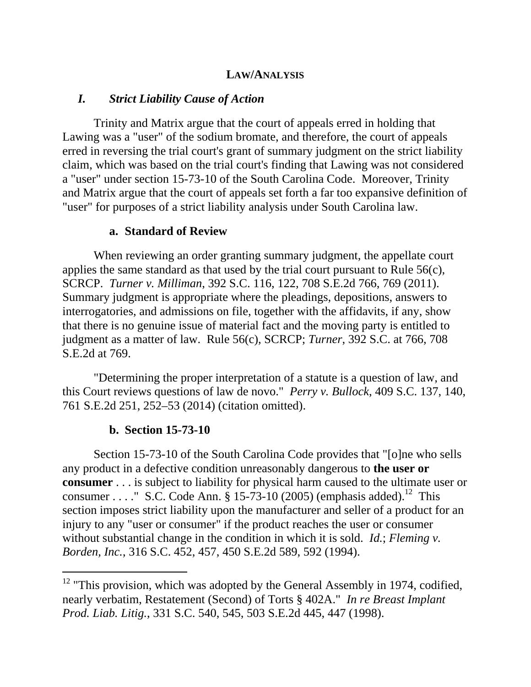### **LAW/ANALYSIS**

#### *I. Strict Liability Cause of Action*

Trinity and Matrix argue that the court of appeals erred in holding that Lawing was a "user" of the sodium bromate, and therefore, the court of appeals erred in reversing the trial court's grant of summary judgment on the strict liability claim, which was based on the trial court's finding that Lawing was not considered a "user" under section 15-73-10 of the South Carolina Code. Moreover, Trinity and Matrix argue that the court of appeals set forth a far too expansive definition of "user" for purposes of a strict liability analysis under South Carolina law.

#### **a. Standard of Review**

When reviewing an order granting summary judgment, the appellate court applies the same standard as that used by the trial court pursuant to Rule 56(c), SCRCP. *Turner v. Milliman*, 392 S.C. 116, 122, 708 S.E.2d 766, 769 (2011). Summary judgment is appropriate where the pleadings, depositions, answers to interrogatories, and admissions on file, together with the affidavits, if any, show that there is no genuine issue of material fact and the moving party is entitled to judgment as a matter of law. Rule 56(c), SCRCP; *Turner*, 392 S.C. at 766, 708 S.E.2d at 769.

"Determining the proper interpretation of a statute is a question of law, and this Court reviews questions of law de novo." *Perry v. Bullock*, 409 S.C. 137, 140, 761 S.E.2d 251, 252–53 (2014) (citation omitted).

#### **b. Section 15-73-10**

 $\overline{a}$ 

Section 15-73-10 of the South Carolina Code provides that "[o]ne who sells any product in a defective condition unreasonably dangerous to **the user or consumer** . . . is subject to liability for physical harm caused to the ultimate user or consumer . . . . " S.C. Code Ann. § 15-73-10 (2005) (emphasis added).<sup>12</sup> This section imposes strict liability upon the manufacturer and seller of a product for an injury to any "user or consumer" if the product reaches the user or consumer without substantial change in the condition in which it is sold. *Id.*; *Fleming v. Borden, Inc.*, 316 S.C. 452, 457, 450 S.E.2d 589, 592 (1994).

 $12$  "This provision, which was adopted by the General Assembly in 1974, codified, nearly verbatim, Restatement (Second) of Torts § 402A." *In re Breast Implant Prod. Liab. Litig.*, 331 S.C. 540, 545, 503 S.E.2d 445, 447 (1998).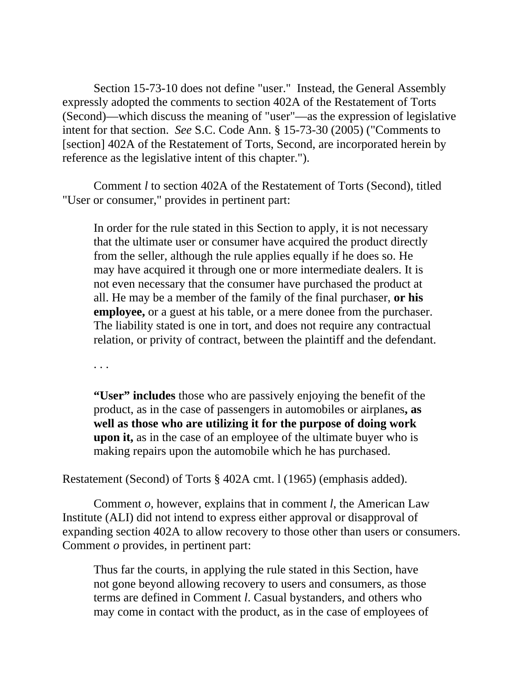Section 15-73-10 does not define "user." Instead, the General Assembly expressly adopted the comments to section 402A of the Restatement of Torts (Second)—which discuss the meaning of "user"—as the expression of legislative intent for that section. *See* S.C. Code Ann. § 15-73-30 (2005) ("Comments to [section] 402A of the Restatement of Torts, Second, are incorporated herein by reference as the legislative intent of this chapter.").

 Comment *l* to section 402A of the Restatement of Torts (Second), titled "User or consumer," provides in pertinent part:

In order for the rule stated in this Section to apply, it is not necessary that the ultimate user or consumer have acquired the product directly from the seller, although the rule applies equally if he does so. He may have acquired it through one or more intermediate dealers. It is not even necessary that the consumer have purchased the product at all. He may be a member of the family of the final purchaser, **or his employee,** or a guest at his table, or a mere donee from the purchaser. The liability stated is one in tort, and does not require any contractual relation, or privity of contract, between the plaintiff and the defendant.

· · ·

**"User" includes** those who are passively enjoying the benefit of the product, as in the case of passengers in automobiles or airplanes**, as well as those who are utilizing it for the purpose of doing work upon it,** as in the case of an employee of the ultimate buyer who is making repairs upon the automobile which he has purchased.

Restatement (Second) of Torts § 402A cmt. l (1965) (emphasis added).

 Comment *o*, however, explains that in comment *l*, the American Law Institute (ALI) did not intend to express either approval or disapproval of expanding section 402A to allow recovery to those other than users or consumers. Comment *o* provides, in pertinent part:

Thus far the courts, in applying the rule stated in this Section, have not gone beyond allowing recovery to users and consumers, as those terms are defined in Comment *l*. Casual bystanders, and others who may come in contact with the product, as in the case of employees of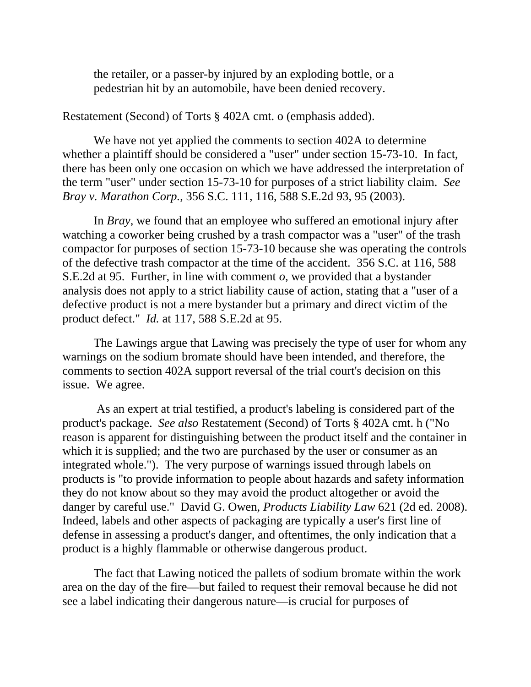the retailer, or a passer-by injured by an exploding bottle, or a pedestrian hit by an automobile, have been denied recovery.

Restatement (Second) of Torts § 402A cmt. o (emphasis added).

 the term "user" under section 15-73-10 for purposes of a strict liability claim. *See*  We have not yet applied the comments to section 402A to determine whether a plaintiff should be considered a "user" under section 15-73-10. In fact, there has been only one occasion on which we have addressed the interpretation of *Bray v. Marathon Corp.*, 356 S.C. 111, 116, 588 S.E.2d 93, 95 (2003).

In *Bray*, we found that an employee who suffered an emotional injury after watching a coworker being crushed by a trash compactor was a "user" of the trash compactor for purposes of section 15-73-10 because she was operating the controls of the defective trash compactor at the time of the accident. 356 S.C. at 116, 588 S.E.2d at 95. Further, in line with comment *o*, we provided that a bystander analysis does not apply to a strict liability cause of action, stating that a "user of a defective product is not a mere bystander but a primary and direct victim of the product defect." *Id.* at 117, 588 S.E.2d at 95.

The Lawings argue that Lawing was precisely the type of user for whom any warnings on the sodium bromate should have been intended, and therefore, the comments to section 402A support reversal of the trial court's decision on this issue. We agree.

 As an expert at trial testified, a product's labeling is considered part of the product's package. *See also* Restatement (Second) of Torts § 402A cmt. h ("No reason is apparent for distinguishing between the product itself and the container in which it is supplied; and the two are purchased by the user or consumer as an integrated whole."). The very purpose of warnings issued through labels on products is "to provide information to people about hazards and safety information they do not know about so they may avoid the product altogether or avoid the danger by careful use." David G. Owen, *Products Liability Law* 621 (2d ed. 2008). Indeed, labels and other aspects of packaging are typically a user's first line of defense in assessing a product's danger, and oftentimes, the only indication that a product is a highly flammable or otherwise dangerous product.

The fact that Lawing noticed the pallets of sodium bromate within the work area on the day of the fire—but failed to request their removal because he did not see a label indicating their dangerous nature—is crucial for purposes of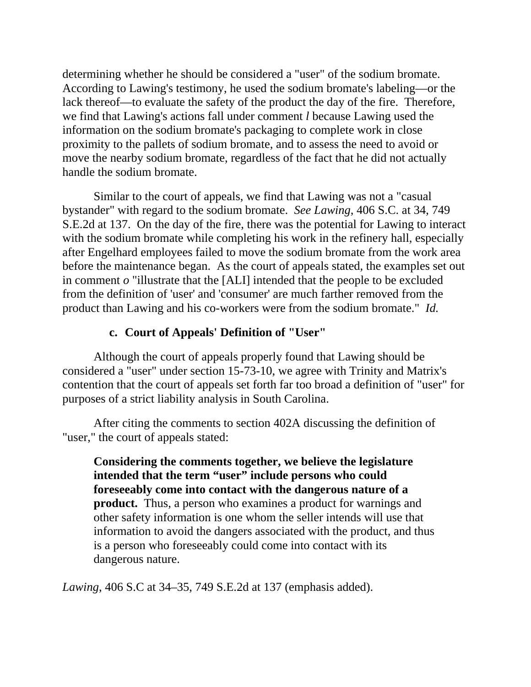determining whether he should be considered a "user" of the sodium bromate. According to Lawing's testimony, he used the sodium bromate's labeling—or the lack thereof—to evaluate the safety of the product the day of the fire. Therefore, we find that Lawing's actions fall under comment *l* because Lawing used the information on the sodium bromate's packaging to complete work in close proximity to the pallets of sodium bromate, and to assess the need to avoid or move the nearby sodium bromate, regardless of the fact that he did not actually handle the sodium bromate.

Similar to the court of appeals, we find that Lawing was not a "casual bystander" with regard to the sodium bromate. *See Lawing*, 406 S.C. at 34, 749 S.E.2d at 137. On the day of the fire, there was the potential for Lawing to interact with the sodium bromate while completing his work in the refinery hall, especially after Engelhard employees failed to move the sodium bromate from the work area before the maintenance began. As the court of appeals stated, the examples set out in comment *o* "illustrate that the [ALI] intended that the people to be excluded from the definition of 'user' and 'consumer' are much farther removed from the product than Lawing and his co-workers were from the sodium bromate." *Id.* 

## **c. Court of Appeals' Definition of "User"**

Although the court of appeals properly found that Lawing should be considered a "user" under section 15-73-10, we agree with Trinity and Matrix's contention that the court of appeals set forth far too broad a definition of "user" for purposes of a strict liability analysis in South Carolina.

After citing the comments to section 402A discussing the definition of "user," the court of appeals stated:

**Considering the comments together, we believe the legislature intended that the term "user" include persons who could foreseeably come into contact with the dangerous nature of a product.** Thus, a person who examines a product for warnings and other safety information is one whom the seller intends will use that information to avoid the dangers associated with the product, and thus is a person who foreseeably could come into contact with its dangerous nature.

*Lawing*, 406 S.C at 34–35, 749 S.E.2d at 137 (emphasis added).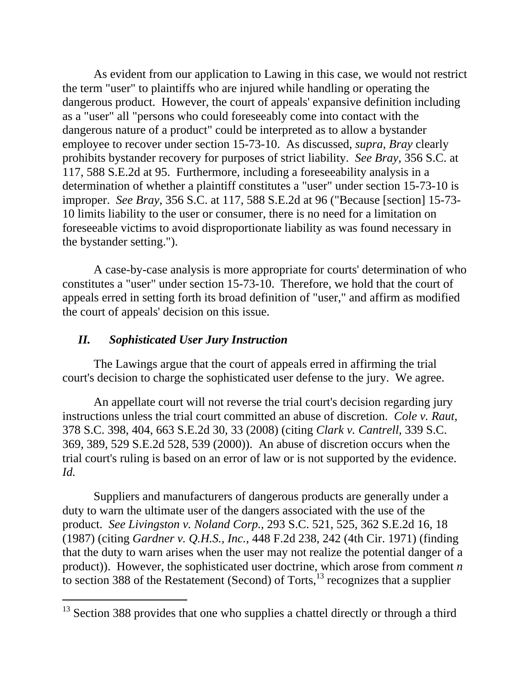As evident from our application to Lawing in this case, we would not restrict the term "user" to plaintiffs who are injured while handling or operating the dangerous product. However, the court of appeals' expansive definition including as a "user" all "persons who could foreseeably come into contact with the dangerous nature of a product" could be interpreted as to allow a bystander employee to recover under section 15-73-10. As discussed, *supra*, *Bray* clearly prohibits bystander recovery for purposes of strict liability. *See Bray*, 356 S.C. at 117, 588 S.E.2d at 95. Furthermore, including a foreseeability analysis in a determination of whether a plaintiff constitutes a "user" under section 15-73-10 is improper. *See Bray*, 356 S.C. at 117, 588 S.E.2d at 96 ("Because [section] 15-73 10 limits liability to the user or consumer, there is no need for a limitation on foreseeable victims to avoid disproportionate liability as was found necessary in the bystander setting.").

A case-by-case analysis is more appropriate for courts' determination of who constitutes a "user" under section 15-73-10. Therefore, we hold that the court of appeals erred in setting forth its broad definition of "user," and affirm as modified the court of appeals' decision on this issue.

### *II. Sophisticated User Jury Instruction*

 $\overline{a}$ 

The Lawings argue that the court of appeals erred in affirming the trial court's decision to charge the sophisticated user defense to the jury. We agree.

 *Id.* An appellate court will not reverse the trial court's decision regarding jury instructions unless the trial court committed an abuse of discretion. *Cole v. Raut*, 378 S.C. 398, 404, 663 S.E.2d 30, 33 (2008) (citing *Clark v. Cantrell*, 339 S.C. 369, 389, 529 S.E.2d 528, 539 (2000)). An abuse of discretion occurs when the trial court's ruling is based on an error of law or is not supported by the evidence.

Suppliers and manufacturers of dangerous products are generally under a duty to warn the ultimate user of the dangers associated with the use of the product. *See Livingston v. Noland Corp.*, 293 S.C. 521, 525, 362 S.E.2d 16, 18 (1987) (citing *Gardner v. Q.H.S., Inc.*, 448 F.2d 238, 242 (4th Cir. 1971) (finding that the duty to warn arises when the user may not realize the potential danger of a product)). However, the sophisticated user doctrine, which arose from comment *n*  to section 388 of the Restatement (Second) of Torts, $^{13}$  recognizes that a supplier

<sup>&</sup>lt;sup>13</sup> Section 388 provides that one who supplies a chattel directly or through a third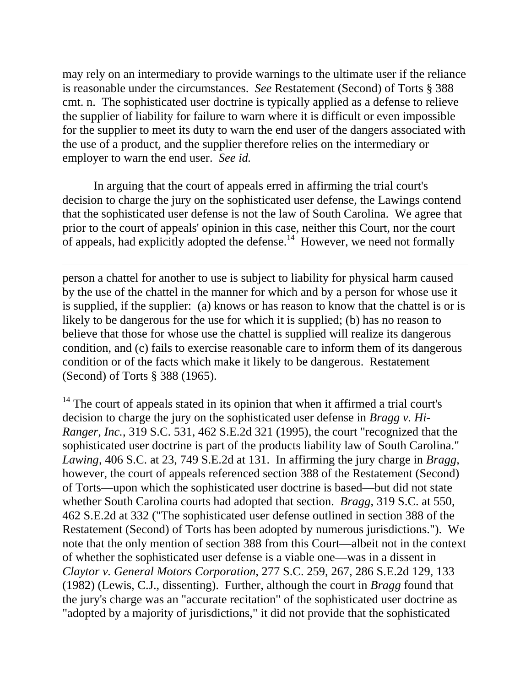employer to warn the end user. *See id.* may rely on an intermediary to provide warnings to the ultimate user if the reliance is reasonable under the circumstances. *See* Restatement (Second) of Torts § 388 cmt. n. The sophisticated user doctrine is typically applied as a defense to relieve the supplier of liability for failure to warn where it is difficult or even impossible for the supplier to meet its duty to warn the end user of the dangers associated with the use of a product, and the supplier therefore relies on the intermediary or

In arguing that the court of appeals erred in affirming the trial court's decision to charge the jury on the sophisticated user defense, the Lawings contend that the sophisticated user defense is not the law of South Carolina. We agree that prior to the court of appeals' opinion in this case, neither this Court, nor the court of appeals, had explicitly adopted the defense.<sup>14</sup> However, we need not formally

 $\overline{a}$ 

person a chattel for another to use is subject to liability for physical harm caused by the use of the chattel in the manner for which and by a person for whose use it is supplied, if the supplier: (a) knows or has reason to know that the chattel is or is likely to be dangerous for the use for which it is supplied; (b) has no reason to believe that those for whose use the chattel is supplied will realize its dangerous condition, and (c) fails to exercise reasonable care to inform them of its dangerous condition or of the facts which make it likely to be dangerous. Restatement (Second) of Torts § 388 (1965).

<sup>14</sup> The court of appeals stated in its opinion that when it affirmed a trial court's decision to charge the jury on the sophisticated user defense in *Bragg v. Hi-Ranger, Inc.*, 319 S.C. 531, 462 S.E.2d 321 (1995), the court "recognized that the sophisticated user doctrine is part of the products liability law of South Carolina." *Lawing*, 406 S.C. at 23, 749 S.E.2d at 131. In affirming the jury charge in *Bragg*, however, the court of appeals referenced section 388 of the Restatement (Second) of Torts—upon which the sophisticated user doctrine is based—but did not state whether South Carolina courts had adopted that section. *Bragg*, 319 S.C. at 550, 462 S.E.2d at 332 ("The sophisticated user defense outlined in section 388 of the Restatement (Second) of Torts has been adopted by numerous jurisdictions."). We note that the only mention of section 388 from this Court—albeit not in the context of whether the sophisticated user defense is a viable one—was in a dissent in *Claytor v. General Motors Corporation*, 277 S.C. 259, 267, 286 S.E.2d 129, 133 (1982) (Lewis, C.J., dissenting). Further, although the court in *Bragg* found that the jury's charge was an "accurate recitation" of the sophisticated user doctrine as "adopted by a majority of jurisdictions," it did not provide that the sophisticated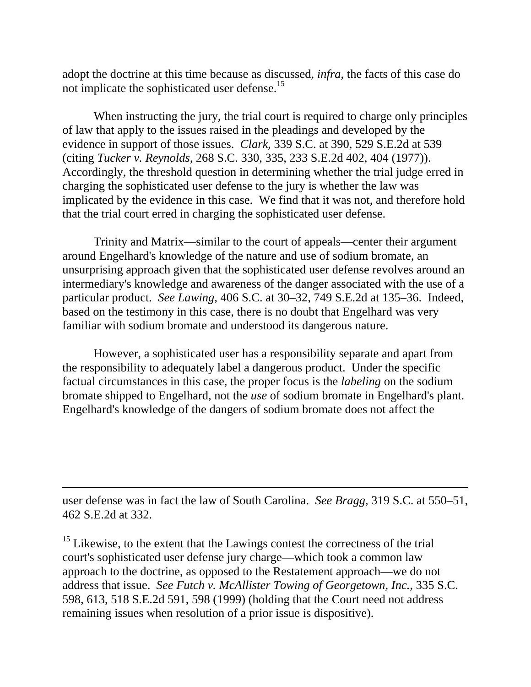not implicate the sophisticated user defense.<sup>15</sup> adopt the doctrine at this time because as discussed, *infra*, the facts of this case do

When instructing the jury, the trial court is required to charge only principles of law that apply to the issues raised in the pleadings and developed by the evidence in support of those issues. *Clark*, 339 S.C. at 390, 529 S.E.2d at 539 (citing *Tucker v. Reynolds*, 268 S.C. 330, 335, 233 S.E.2d 402, 404 (1977)). Accordingly, the threshold question in determining whether the trial judge erred in charging the sophisticated user defense to the jury is whether the law was implicated by the evidence in this case. We find that it was not, and therefore hold that the trial court erred in charging the sophisticated user defense.

Trinity and Matrix—similar to the court of appeals—center their argument around Engelhard's knowledge of the nature and use of sodium bromate, an unsurprising approach given that the sophisticated user defense revolves around an intermediary's knowledge and awareness of the danger associated with the use of a particular product. *See Lawing*, 406 S.C. at 30–32, 749 S.E.2d at 135–36. Indeed, based on the testimony in this case, there is no doubt that Engelhard was very familiar with sodium bromate and understood its dangerous nature.

However, a sophisticated user has a responsibility separate and apart from the responsibility to adequately label a dangerous product. Under the specific factual circumstances in this case, the proper focus is the *labeling* on the sodium bromate shipped to Engelhard, not the *use* of sodium bromate in Engelhard's plant. Engelhard's knowledge of the dangers of sodium bromate does not affect the

user defense was in fact the law of South Carolina. *See Bragg*, 319 S.C. at 550–51, 462 S.E.2d at 332.

 $\overline{a}$ 

<sup>15</sup> Likewise, to the extent that the Lawings contest the correctness of the trial court's sophisticated user defense jury charge—which took a common law approach to the doctrine, as opposed to the Restatement approach—we do not address that issue. *See Futch v. McAllister Towing of Georgetown, Inc.*, 335 S.C. 598, 613, 518 S.E.2d 591, 598 (1999) (holding that the Court need not address remaining issues when resolution of a prior issue is dispositive).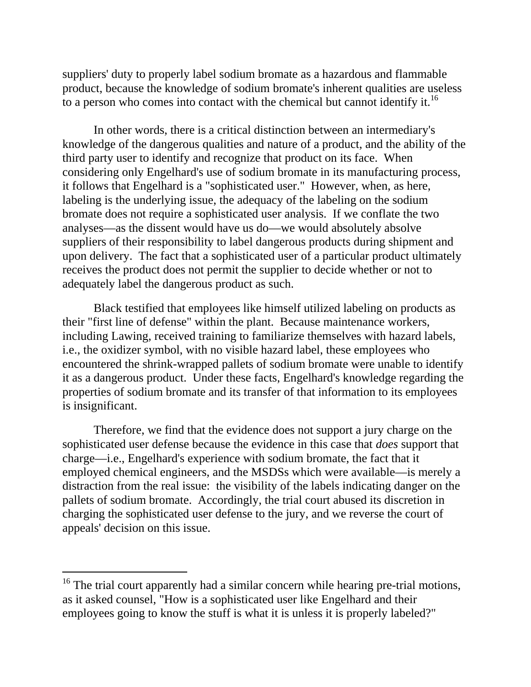to a person who comes into contact with the chemical but cannot identify it.<sup>16</sup> suppliers' duty to properly label sodium bromate as a hazardous and flammable product, because the knowledge of sodium bromate's inherent qualities are useless

In other words, there is a critical distinction between an intermediary's knowledge of the dangerous qualities and nature of a product, and the ability of the third party user to identify and recognize that product on its face. When considering only Engelhard's use of sodium bromate in its manufacturing process, it follows that Engelhard is a "sophisticated user." However, when, as here, labeling is the underlying issue, the adequacy of the labeling on the sodium bromate does not require a sophisticated user analysis. If we conflate the two analyses—as the dissent would have us do—we would absolutely absolve suppliers of their responsibility to label dangerous products during shipment and upon delivery. The fact that a sophisticated user of a particular product ultimately receives the product does not permit the supplier to decide whether or not to adequately label the dangerous product as such.

Black testified that employees like himself utilized labeling on products as their "first line of defense" within the plant. Because maintenance workers, including Lawing, received training to familiarize themselves with hazard labels, i.e., the oxidizer symbol, with no visible hazard label, these employees who encountered the shrink-wrapped pallets of sodium bromate were unable to identify it as a dangerous product. Under these facts, Engelhard's knowledge regarding the properties of sodium bromate and its transfer of that information to its employees is insignificant.

Therefore, we find that the evidence does not support a jury charge on the sophisticated user defense because the evidence in this case that *does* support that charge—i.e., Engelhard's experience with sodium bromate, the fact that it employed chemical engineers, and the MSDSs which were available—is merely a distraction from the real issue: the visibility of the labels indicating danger on the pallets of sodium bromate. Accordingly, the trial court abused its discretion in charging the sophisticated user defense to the jury, and we reverse the court of appeals' decision on this issue.

 $16$  The trial court apparently had a similar concern while hearing pre-trial motions, as it asked counsel, "How is a sophisticated user like Engelhard and their employees going to know the stuff is what it is unless it is properly labeled?"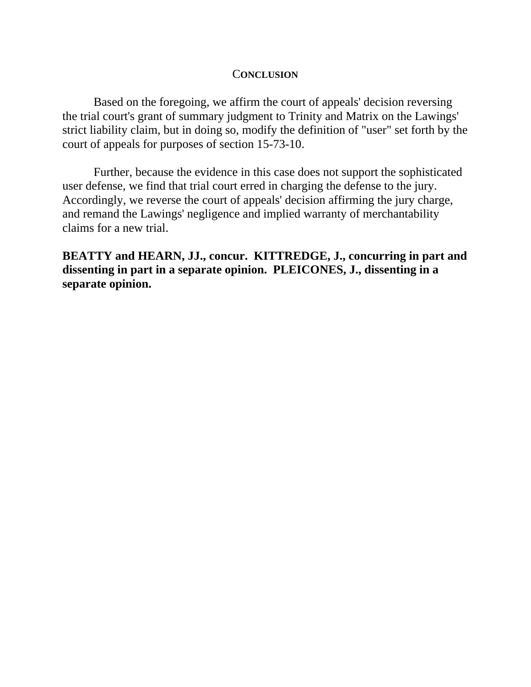#### C**ONCLUSION**

Based on the foregoing, we affirm the court of appeals' decision reversing the trial court's grant of summary judgment to Trinity and Matrix on the Lawings' strict liability claim, but in doing so, modify the definition of "user" set forth by the court of appeals for purposes of section 15-73-10.

Further, because the evidence in this case does not support the sophisticated user defense, we find that trial court erred in charging the defense to the jury. Accordingly, we reverse the court of appeals' decision affirming the jury charge, and remand the Lawings' negligence and implied warranty of merchantability claims for a new trial.

 **separate opinion.BEATTY and HEARN, JJ., concur. KITTREDGE, J., concurring in part and dissenting in part in a separate opinion. PLEICONES, J., dissenting in a**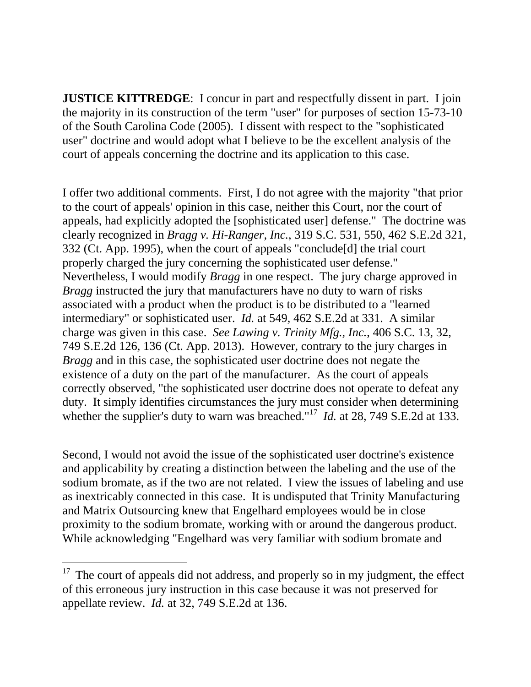**JUSTICE KITTREDGE:** I concur in part and respectfully dissent in part. I join the majority in its construction of the term "user" for purposes of section 15-73-10 of the South Carolina Code (2005). I dissent with respect to the "sophisticated user" doctrine and would adopt what I believe to be the excellent analysis of the court of appeals concerning the doctrine and its application to this case.

I offer two additional comments. First, I do not agree with the majority "that prior to the court of appeals' opinion in this case, neither this Court, nor the court of appeals, had explicitly adopted the [sophisticated user] defense." The doctrine was clearly recognized in *Bragg v. Hi-Ranger, Inc.*, 319 S.C. 531, 550, 462 S.E.2d 321, 332 (Ct. App. 1995), when the court of appeals "conclude[d] the trial court properly charged the jury concerning the sophisticated user defense." Nevertheless, I would modify *Bragg* in one respect. The jury charge approved in *Bragg* instructed the jury that manufacturers have no duty to warn of risks associated with a product when the product is to be distributed to a "learned intermediary" or sophisticated user. *Id.* at 549, 462 S.E.2d at 331. A similar charge was given in this case. *See Lawing v. Trinity Mfg., Inc.*, 406 S.C. 13, 32, 749 S.E.2d 126, 136 (Ct. App. 2013). However, contrary to the jury charges in *Bragg* and in this case, the sophisticated user doctrine does not negate the existence of a duty on the part of the manufacturer. As the court of appeals correctly observed, "the sophisticated user doctrine does not operate to defeat any duty. It simply identifies circumstances the jury must consider when determining whether the supplier's duty to warn was breached."<sup>17</sup> *Id.* at 28, 749 S.E.2d at 133.

Second, I would not avoid the issue of the sophisticated user doctrine's existence and applicability by creating a distinction between the labeling and the use of the sodium bromate, as if the two are not related. I view the issues of labeling and use as inextricably connected in this case. It is undisputed that Trinity Manufacturing and Matrix Outsourcing knew that Engelhard employees would be in close proximity to the sodium bromate, working with or around the dangerous product. While acknowledging "Engelhard was very familiar with sodium bromate and

 $17$  The court of appeals did not address, and properly so in my judgment, the effect of this erroneous jury instruction in this case because it was not preserved for appellate review. *Id.* at 32, 749 S.E.2d at 136.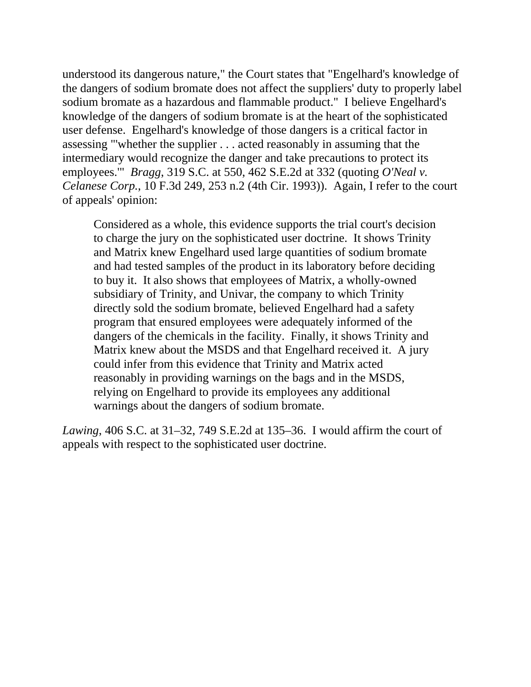understood its dangerous nature," the Court states that "Engelhard's knowledge of the dangers of sodium bromate does not affect the suppliers' duty to properly label sodium bromate as a hazardous and flammable product." I believe Engelhard's knowledge of the dangers of sodium bromate is at the heart of the sophisticated user defense. Engelhard's knowledge of those dangers is a critical factor in assessing "'whether the supplier . . . acted reasonably in assuming that the intermediary would recognize the danger and take precautions to protect its employees.'" *Bragg*, 319 S.C. at 550, 462 S.E.2d at 332 (quoting *O'Neal v. Celanese Corp.*, 10 F.3d 249, 253 n.2 (4th Cir. 1993)). Again, I refer to the court of appeals' opinion:

Considered as a whole, this evidence supports the trial court's decision to charge the jury on the sophisticated user doctrine. It shows Trinity and Matrix knew Engelhard used large quantities of sodium bromate and had tested samples of the product in its laboratory before deciding to buy it. It also shows that employees of Matrix, a wholly-owned subsidiary of Trinity, and Univar, the company to which Trinity directly sold the sodium bromate, believed Engelhard had a safety program that ensured employees were adequately informed of the dangers of the chemicals in the facility. Finally, it shows Trinity and Matrix knew about the MSDS and that Engelhard received it. A jury could infer from this evidence that Trinity and Matrix acted reasonably in providing warnings on the bags and in the MSDS, relying on Engelhard to provide its employees any additional warnings about the dangers of sodium bromate.

*Lawing*, 406 S.C. at 31–32, 749 S.E.2d at 135–36. I would affirm the court of appeals with respect to the sophisticated user doctrine.